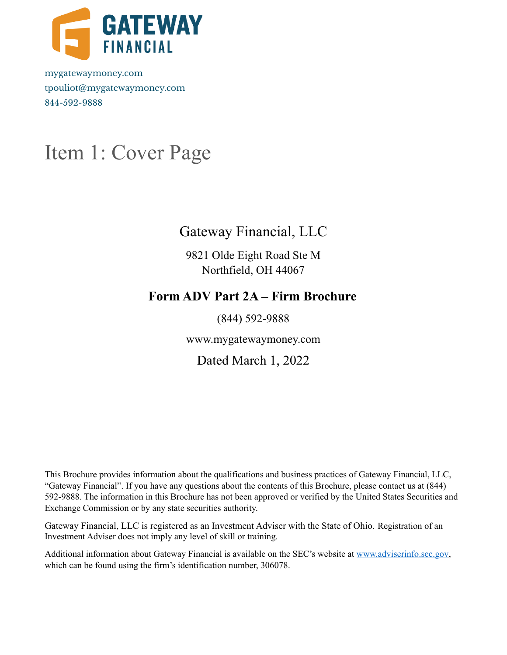

mygatewaymoney.com tpouliot@mygatewaymoney.com 844-592-9888

## <span id="page-0-0"></span>Item 1: Cover Page

## Gateway Financial, LLC

9821 Olde Eight Road Ste M Northfield, OH 44067

## **Form ADV Part 2A – Firm Brochure**

(844) 592-9888

www.mygatewaymoney.com

Dated March 1, 2022

This Brochure provides information about the qualifications and business practices of Gateway Financial, LLC, "Gateway Financial". If you have any questions about the contents of this Brochure, please contact us at (844) 592-9888. The information in this Brochure has not been approved or verified by the United States Securities and Exchange Commission or by any state securities authority.

Gateway Financial, LLC is registered as an Investment Adviser with the State of Ohio. Registration of an Investment Adviser does not imply any level of skill or training.

Additional information about Gateway Financial is available on the SEC's website at [www.adviserinfo.sec.gov](http://www.adviserinfo.sec.gov), which can be found using the firm's identification number, 306078.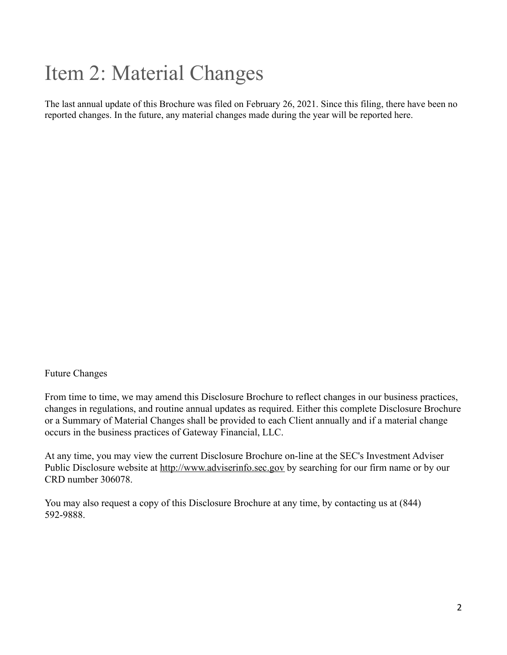## <span id="page-1-0"></span>Item 2: Material Changes

The last annual update of this Brochure was filed on February 26, 2021. Since this filing, there have been no reported changes. In the future, any material changes made during the year will be reported here.

#### Future Changes

From time to time, we may amend this Disclosure Brochure to reflect changes in our business practices, changes in regulations, and routine annual updates as required. Either this complete Disclosure Brochure or a Summary of Material Changes shall be provided to each Client annually and if a material change occurs in the business practices of Gateway Financial, LLC.

At any time, you may view the current Disclosure Brochure on-line at the SEC's Investment Adviser Public Disclosure website at [http://www.adviserinfo.sec.gov](http://www.adviserinfo.sec.gov/) by searching for our firm name or by our CRD number 306078.

You may also request a copy of this Disclosure Brochure at any time, by contacting us at (844) 592-9888.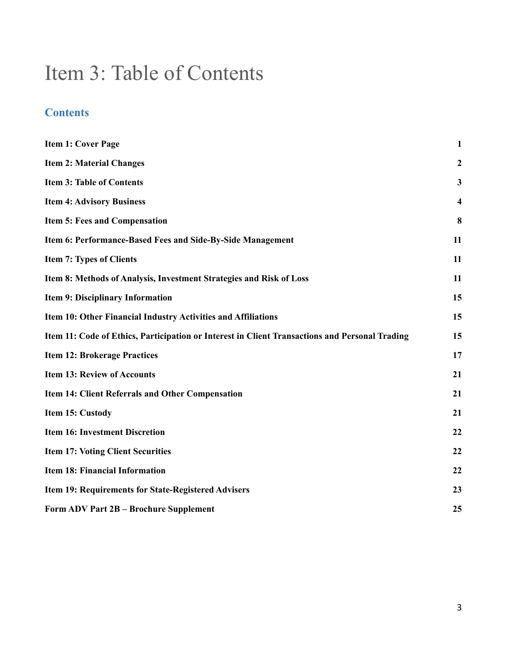## <span id="page-2-0"></span>Item 3: Table of Contents

### **Contents**

| <b>Item 1: Cover Page</b>                                                                      | $\mathbf{1}$            |
|------------------------------------------------------------------------------------------------|-------------------------|
| <b>Item 2: Material Changes</b>                                                                | $\boldsymbol{2}$        |
| <b>Item 3: Table of Contents</b>                                                               | $\mathbf{3}$            |
| <b>Item 4: Advisory Business</b>                                                               | $\overline{\mathbf{4}}$ |
| Item 5: Fees and Compensation                                                                  | 8                       |
| Item 6: Performance-Based Fees and Side-By-Side Management                                     | 11                      |
| <b>Item 7: Types of Clients</b>                                                                | 11                      |
| Item 8: Methods of Analysis, Investment Strategies and Risk of Loss                            | 11                      |
| Item 9: Disciplinary Information                                                               | 15                      |
| Item 10: Other Financial Industry Activities and Affiliations                                  | 15                      |
| Item 11: Code of Ethics, Participation or Interest in Client Transactions and Personal Trading | 15                      |
| <b>Item 12: Brokerage Practices</b>                                                            | 17                      |
| <b>Item 13: Review of Accounts</b>                                                             | 21                      |
| <b>Item 14: Client Referrals and Other Compensation</b>                                        | 21                      |
| Item 15: Custody                                                                               | 21                      |
| <b>Item 16: Investment Discretion</b>                                                          | 22                      |
| <b>Item 17: Voting Client Securities</b>                                                       | 22                      |
| <b>Item 18: Financial Information</b>                                                          | 22                      |
| Item 19: Requirements for State-Registered Advisers                                            | 23                      |
| Form ADV Part 2B - Brochure Supplement                                                         | 25                      |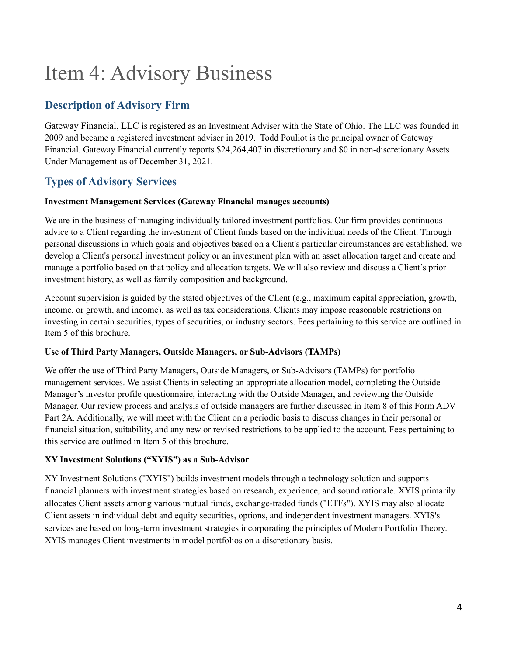## <span id="page-3-0"></span>Item 4: Advisory Business

### **Description of Advisory Firm**

Gateway Financial, LLC is registered as an Investment Adviser with the State of Ohio. The LLC was founded in 2009 and became a registered investment adviser in 2019. Todd Pouliot is the principal owner of Gateway Financial. Gateway Financial currently reports \$24,264,407 in discretionary and \$0 in non-discretionary Assets Under Management as of December 31, 2021.

### **Types of Advisory Services**

#### **Investment Management Services (Gateway Financial manages accounts)**

We are in the business of managing individually tailored investment portfolios. Our firm provides continuous advice to a Client regarding the investment of Client funds based on the individual needs of the Client. Through personal discussions in which goals and objectives based on a Client's particular circumstances are established, we develop a Client's personal investment policy or an investment plan with an asset allocation target and create and manage a portfolio based on that policy and allocation targets. We will also review and discuss a Client's prior investment history, as well as family composition and background.

Account supervision is guided by the stated objectives of the Client (e.g., maximum capital appreciation, growth, income, or growth, and income), as well as tax considerations. Clients may impose reasonable restrictions on investing in certain securities, types of securities, or industry sectors. Fees pertaining to this service are outlined in Item 5 of this brochure.

#### **Use of Third Party Managers, Outside Managers, or Sub-Advisors (TAMPs)**

We offer the use of Third Party Managers, Outside Managers, or Sub-Advisors (TAMPs) for portfolio management services. We assist Clients in selecting an appropriate allocation model, completing the Outside Manager's investor profile questionnaire, interacting with the Outside Manager, and reviewing the Outside Manager. Our review process and analysis of outside managers are further discussed in Item 8 of this Form ADV Part 2A. Additionally, we will meet with the Client on a periodic basis to discuss changes in their personal or financial situation, suitability, and any new or revised restrictions to be applied to the account. Fees pertaining to this service are outlined in Item 5 of this brochure.

#### **XY Investment Solutions ("XYIS") as a Sub-Advisor**

XY Investment Solutions ("XYIS") builds investment models through a technology solution and supports financial planners with investment strategies based on research, experience, and sound rationale. XYIS primarily allocates Client assets among various mutual funds, exchange-traded funds ("ETFs"). XYIS may also allocate Client assets in individual debt and equity securities, options, and independent investment managers. XYIS's services are based on long-term investment strategies incorporating the principles of Modern Portfolio Theory. XYIS manages Client investments in model portfolios on a discretionary basis.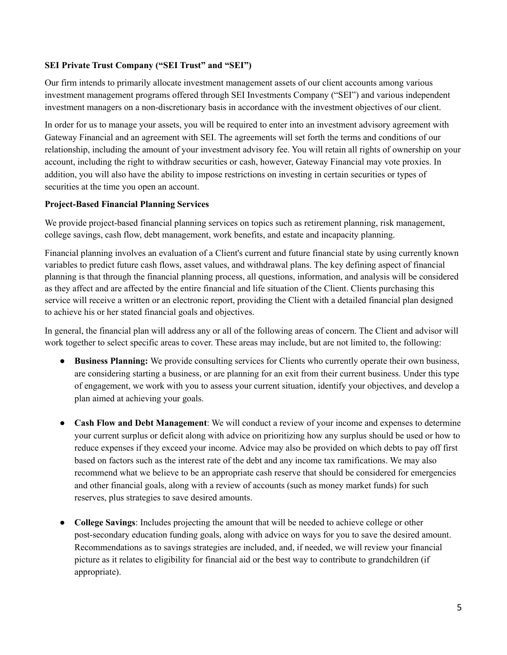#### **SEI Private Trust Company ("SEI Trust" and "SEI")**

Our firm intends to primarily allocate investment management assets of our client accounts among various investment management programs offered through SEI Investments Company ("SEI") and various independent investment managers on a non-discretionary basis in accordance with the investment objectives of our client.

In order for us to manage your assets, you will be required to enter into an investment advisory agreement with Gateway Financial and an agreement with SEI. The agreements will set forth the terms and conditions of our relationship, including the amount of your investment advisory fee. You will retain all rights of ownership on your account, including the right to withdraw securities or cash, however, Gateway Financial may vote proxies. In addition, you will also have the ability to impose restrictions on investing in certain securities or types of securities at the time you open an account.

#### **Project-Based Financial Planning Services**

We provide project-based financial planning services on topics such as retirement planning, risk management, college savings, cash flow, debt management, work benefits, and estate and incapacity planning.

Financial planning involves an evaluation of a Client's current and future financial state by using currently known variables to predict future cash flows, asset values, and withdrawal plans. The key defining aspect of financial planning is that through the financial planning process, all questions, information, and analysis will be considered as they affect and are affected by the entire financial and life situation of the Client. Clients purchasing this service will receive a written or an electronic report, providing the Client with a detailed financial plan designed to achieve his or her stated financial goals and objectives.

In general, the financial plan will address any or all of the following areas of concern. The Client and advisor will work together to select specific areas to cover. These areas may include, but are not limited to, the following:

- **Business Planning:** We provide consulting services for Clients who currently operate their own business, are considering starting a business, or are planning for an exit from their current business. Under this type of engagement, we work with you to assess your current situation, identify your objectives, and develop a plan aimed at achieving your goals.
- **Cash Flow and Debt Management**: We will conduct a review of your income and expenses to determine your current surplus or deficit along with advice on prioritizing how any surplus should be used or how to reduce expenses if they exceed your income. Advice may also be provided on which debts to pay off first based on factors such as the interest rate of the debt and any income tax ramifications. We may also recommend what we believe to be an appropriate cash reserve that should be considered for emergencies and other financial goals, along with a review of accounts (such as money market funds) for such reserves, plus strategies to save desired amounts.
- **College Savings**: Includes projecting the amount that will be needed to achieve college or other post-secondary education funding goals, along with advice on ways for you to save the desired amount. Recommendations as to savings strategies are included, and, if needed, we will review your financial picture as it relates to eligibility for financial aid or the best way to contribute to grandchildren (if appropriate).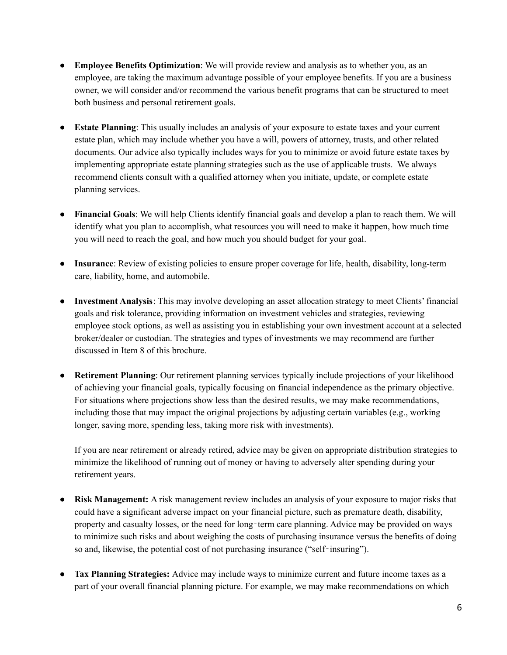- **Employee Benefits Optimization**: We will provide review and analysis as to whether you, as an employee, are taking the maximum advantage possible of your employee benefits. If you are a business owner, we will consider and/or recommend the various benefit programs that can be structured to meet both business and personal retirement goals.
- **Estate Planning**: This usually includes an analysis of your exposure to estate taxes and your current estate plan, which may include whether you have a will, powers of attorney, trusts, and other related documents. Our advice also typically includes ways for you to minimize or avoid future estate taxes by implementing appropriate estate planning strategies such as the use of applicable trusts. We always recommend clients consult with a qualified attorney when you initiate, update, or complete estate planning services.
- **Financial Goals**: We will help Clients identify financial goals and develop a plan to reach them. We will identify what you plan to accomplish, what resources you will need to make it happen, how much time you will need to reach the goal, and how much you should budget for your goal.
- **Insurance**: Review of existing policies to ensure proper coverage for life, health, disability, long-term care, liability, home, and automobile.
- **Investment Analysis**: This may involve developing an asset allocation strategy to meet Clients' financial goals and risk tolerance, providing information on investment vehicles and strategies, reviewing employee stock options, as well as assisting you in establishing your own investment account at a selected broker/dealer or custodian. The strategies and types of investments we may recommend are further discussed in Item 8 of this brochure.
- **Retirement Planning**: Our retirement planning services typically include projections of your likelihood of achieving your financial goals, typically focusing on financial independence as the primary objective. For situations where projections show less than the desired results, we may make recommendations, including those that may impact the original projections by adjusting certain variables (e.g., working longer, saving more, spending less, taking more risk with investments).

If you are near retirement or already retired, advice may be given on appropriate distribution strategies to minimize the likelihood of running out of money or having to adversely alter spending during your retirement years.

- **Risk Management:** A risk management review includes an analysis of your exposure to major risks that could have a significant adverse impact on your financial picture, such as premature death, disability, property and casualty losses, or the need for long-term care planning. Advice may be provided on ways to minimize such risks and about weighing the costs of purchasing insurance versus the benefits of doing so and, likewise, the potential cost of not purchasing insurance ("self‐insuring").
- **Tax Planning Strategies:** Advice may include ways to minimize current and future income taxes as a part of your overall financial planning picture. For example, we may make recommendations on which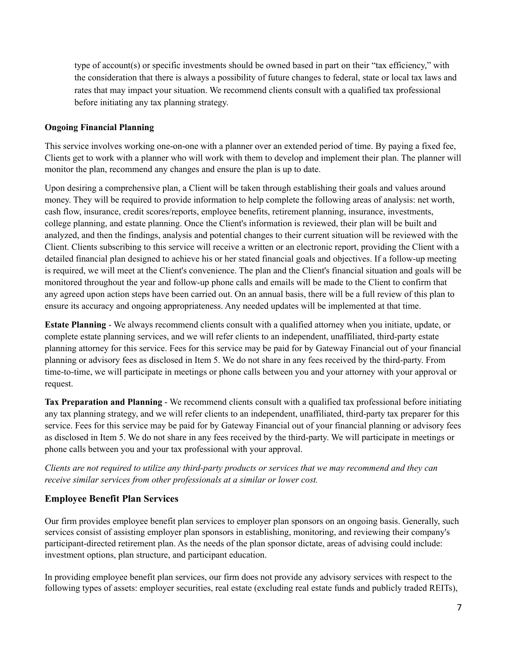type of account(s) or specific investments should be owned based in part on their "tax efficiency," with the consideration that there is always a possibility of future changes to federal, state or local tax laws and rates that may impact your situation. We recommend clients consult with a qualified tax professional before initiating any tax planning strategy.

#### **Ongoing Financial Planning**

This service involves working one-on-one with a planner over an extended period of time. By paying a fixed fee, Clients get to work with a planner who will work with them to develop and implement their plan. The planner will monitor the plan, recommend any changes and ensure the plan is up to date.

Upon desiring a comprehensive plan, a Client will be taken through establishing their goals and values around money. They will be required to provide information to help complete the following areas of analysis: net worth, cash flow, insurance, credit scores/reports, employee benefits, retirement planning, insurance, investments, college planning, and estate planning. Once the Client's information is reviewed, their plan will be built and analyzed, and then the findings, analysis and potential changes to their current situation will be reviewed with the Client. Clients subscribing to this service will receive a written or an electronic report, providing the Client with a detailed financial plan designed to achieve his or her stated financial goals and objectives. If a follow-up meeting is required, we will meet at the Client's convenience. The plan and the Client's financial situation and goals will be monitored throughout the year and follow-up phone calls and emails will be made to the Client to confirm that any agreed upon action steps have been carried out. On an annual basis, there will be a full review of this plan to ensure its accuracy and ongoing appropriateness. Any needed updates will be implemented at that time.

**Estate Planning** - We always recommend clients consult with a qualified attorney when you initiate, update, or complete estate planning services, and we will refer clients to an independent, unaffiliated, third-party estate planning attorney for this service. Fees for this service may be paid for by Gateway Financial out of your financial planning or advisory fees as disclosed in Item 5. We do not share in any fees received by the third-party. From time-to-time, we will participate in meetings or phone calls between you and your attorney with your approval or request.

**Tax Preparation and Planning** - We recommend clients consult with a qualified tax professional before initiating any tax planning strategy, and we will refer clients to an independent, unaffiliated, third-party tax preparer for this service. Fees for this service may be paid for by Gateway Financial out of your financial planning or advisory fees as disclosed in Item 5. We do not share in any fees received by the third-party. We will participate in meetings or phone calls between you and your tax professional with your approval.

Clients are not required to utilize any third-party products or services that we may recommend and they can *receive similar services from other professionals at a similar or lower cost.*

#### **Employee Benefit Plan Services**

Our firm provides employee benefit plan services to employer plan sponsors on an ongoing basis. Generally, such services consist of assisting employer plan sponsors in establishing, monitoring, and reviewing their company's participant-directed retirement plan. As the needs of the plan sponsor dictate, areas of advising could include: investment options, plan structure, and participant education.

In providing employee benefit plan services, our firm does not provide any advisory services with respect to the following types of assets: employer securities, real estate (excluding real estate funds and publicly traded REITs),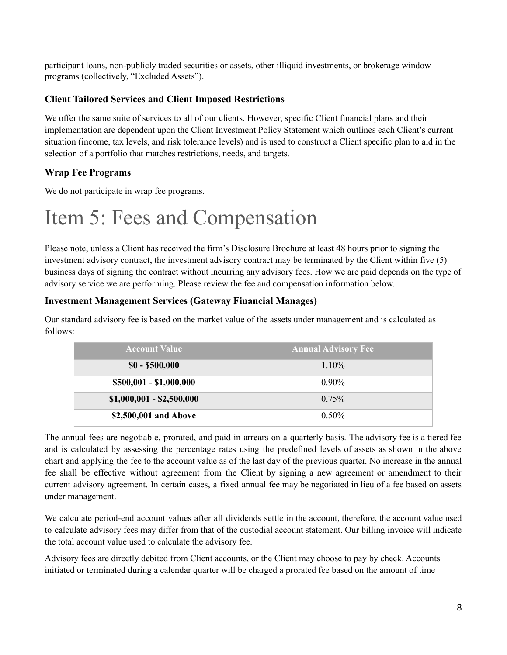participant loans, non-publicly traded securities or assets, other illiquid investments, or brokerage window programs (collectively, "Excluded Assets").

#### **Client Tailored Services and Client Imposed Restrictions**

We offer the same suite of services to all of our clients. However, specific Client financial plans and their implementation are dependent upon the Client Investment Policy Statement which outlines each Client's current situation (income, tax levels, and risk tolerance levels) and is used to construct a Client specific plan to aid in the selection of a portfolio that matches restrictions, needs, and targets.

#### **Wrap Fee Programs**

We do not participate in wrap fee programs.

## <span id="page-7-0"></span>Item 5: Fees and Compensation

Please note, unless a Client has received the firm's Disclosure Brochure at least 48 hours prior to signing the investment advisory contract, the investment advisory contract may be terminated by the Client within five (5) business days of signing the contract without incurring any advisory fees. How we are paid depends on the type of advisory service we are performing. Please review the fee and compensation information below.

#### **Investment Management Services (Gateway Financial Manages)**

Our standard advisory fee is based on the market value of the assets under management and is calculated as follows:

| <b>Account Value</b>      | <b>Annual Advisory Fee</b> |
|---------------------------|----------------------------|
| $$0 - $500,000$           | $1.10\%$                   |
| \$500,001 - \$1,000,000   | $0.90\%$                   |
| $$1,000,001 - $2,500,000$ | $0.75\%$                   |
| \$2,500,001 and Above     | $0.50\%$                   |

The annual fees are negotiable, prorated, and paid in arrears on a quarterly basis. The advisory fee is a tiered fee and is calculated by assessing the percentage rates using the predefined levels of assets as shown in the above chart and applying the fee to the account value as of the last day of the previous quarter. No increase in the annual fee shall be effective without agreement from the Client by signing a new agreement or amendment to their current advisory agreement. In certain cases, a fixed annual fee may be negotiated in lieu of a fee based on assets under management.

We calculate period-end account values after all dividends settle in the account, therefore, the account value used to calculate advisory fees may differ from that of the custodial account statement. Our billing invoice will indicate the total account value used to calculate the advisory fee.

Advisory fees are directly debited from Client accounts, or the Client may choose to pay by check. Accounts initiated or terminated during a calendar quarter will be charged a prorated fee based on the amount of time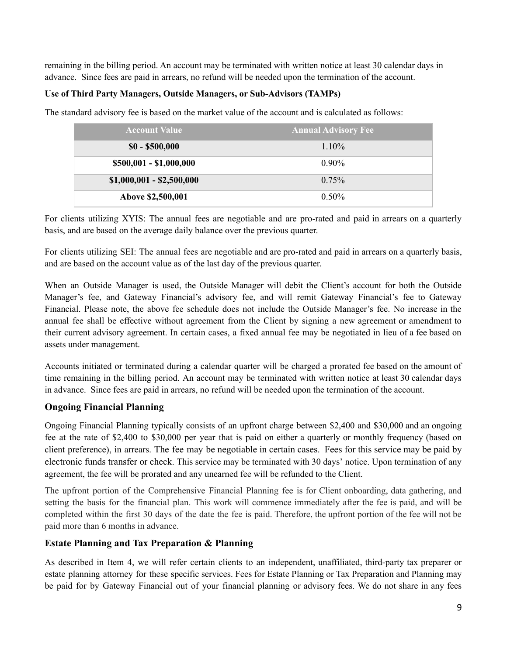remaining in the billing period. An account may be terminated with written notice at least 30 calendar days in advance. Since fees are paid in arrears, no refund will be needed upon the termination of the account.

#### **Use of Third Party Managers, Outside Managers, or Sub-Advisors (TAMPs)**

The standard advisory fee is based on the market value of the account and is calculated as follows:

| <b>Account Value</b>      | <b>Annual Advisory Fee</b> |
|---------------------------|----------------------------|
| $$0 - $500,000$           | $1.10\%$                   |
| \$500,001 - \$1,000,000   | $0.90\%$                   |
| $$1,000,001 - $2,500,000$ | $0.75\%$                   |
| Above \$2,500,001         | $0.50\%$                   |

For clients utilizing XYIS: The annual fees are negotiable and are pro-rated and paid in arrears on a quarterly basis, and are based on the average daily balance over the previous quarter.

For clients utilizing SEI: The annual fees are negotiable and are pro-rated and paid in arrears on a quarterly basis, and are based on the account value as of the last day of the previous quarter.

When an Outside Manager is used, the Outside Manager will debit the Client's account for both the Outside Manager's fee, and Gateway Financial's advisory fee, and will remit Gateway Financial's fee to Gateway Financial. Please note, the above fee schedule does not include the Outside Manager's fee. No increase in the annual fee shall be effective without agreement from the Client by signing a new agreement or amendment to their current advisory agreement. In certain cases, a fixed annual fee may be negotiated in lieu of a fee based on assets under management.

Accounts initiated or terminated during a calendar quarter will be charged a prorated fee based on the amount of time remaining in the billing period. An account may be terminated with written notice at least 30 calendar days in advance. Since fees are paid in arrears, no refund will be needed upon the termination of the account.

#### **Ongoing Financial Planning**

Ongoing Financial Planning typically consists of an upfront charge between \$2,400 and \$30,000 and an ongoing fee at the rate of \$2,400 to \$30,000 per year that is paid on either a quarterly or monthly frequency (based on client preference), in arrears. The fee may be negotiable in certain cases. Fees for this service may be paid by electronic funds transfer or check. This service may be terminated with 30 days' notice. Upon termination of any agreement, the fee will be prorated and any unearned fee will be refunded to the Client.

The upfront portion of the Comprehensive Financial Planning fee is for Client onboarding, data gathering, and setting the basis for the financial plan. This work will commence immediately after the fee is paid, and will be completed within the first 30 days of the date the fee is paid. Therefore, the upfront portion of the fee will not be paid more than 6 months in advance.

#### **Estate Planning and Tax Preparation & Planning**

As described in Item 4, we will refer certain clients to an independent, unaffiliated, third-party tax preparer or estate planning attorney for these specific services. Fees for Estate Planning or Tax Preparation and Planning may be paid for by Gateway Financial out of your financial planning or advisory fees. We do not share in any fees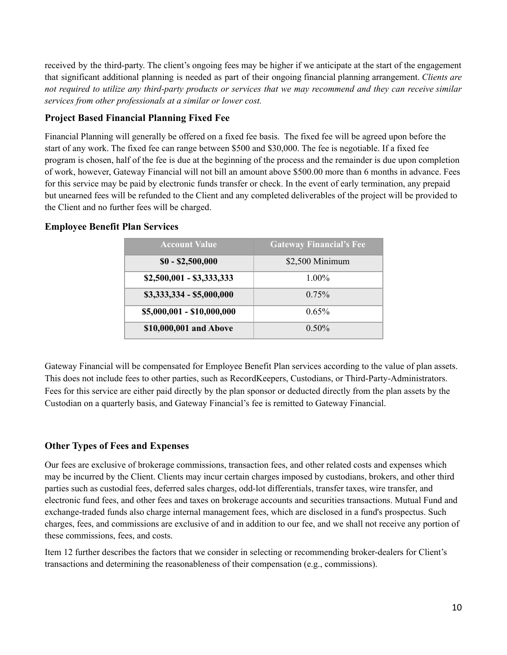received by the third-party. The client's ongoing fees may be higher if we anticipate at the start of the engagement that significant additional planning is needed as part of their ongoing financial planning arrangement. *Clients are* not required to utilize any third-party products or services that we may recommend and they can receive similar *services from other professionals at a similar or lower cost.*

#### **Project Based Financial Planning Fixed Fee**

Financial Planning will generally be offered on a fixed fee basis. The fixed fee will be agreed upon before the start of any work. The fixed fee can range between \$500 and \$30,000. The fee is negotiable. If a fixed fee program is chosen, half of the fee is due at the beginning of the process and the remainder is due upon completion of work, however, Gateway Financial will not bill an amount above \$500.00 more than 6 months in advance. Fees for this service may be paid by electronic funds transfer or check. In the event of early termination, any prepaid but unearned fees will be refunded to the Client and any completed deliverables of the project will be provided to the Client and no further fees will be charged.

#### **Employee Benefit Plan Services**

| <b>Account Value</b>       | <b>Gateway Financial's Fee</b> |
|----------------------------|--------------------------------|
| $$0 - $2,500,000$          | \$2,500 Minimum                |
| $$2,500,001 - $3,333,333$  | $1.00\%$                       |
| \$3,333,334 - \$5,000,000  | $0.75\%$                       |
| \$5,000,001 - \$10,000,000 | 0.65%                          |
| \$10,000,001 and Above     | $0.50\%$                       |

Gateway Financial will be compensated for Employee Benefit Plan services according to the value of plan assets. This does not include fees to other parties, such as RecordKeepers, Custodians, or Third-Party-Administrators. Fees for this service are either paid directly by the plan sponsor or deducted directly from the plan assets by the Custodian on a quarterly basis, and Gateway Financial's fee is remitted to Gateway Financial.

#### **Other Types of Fees and Expenses**

Our fees are exclusive of brokerage commissions, transaction fees, and other related costs and expenses which may be incurred by the Client. Clients may incur certain charges imposed by custodians, brokers, and other third parties such as custodial fees, deferred sales charges, odd-lot differentials, transfer taxes, wire transfer, and electronic fund fees, and other fees and taxes on brokerage accounts and securities transactions. Mutual Fund and exchange-traded funds also charge internal management fees, which are disclosed in a fund's prospectus. Such charges, fees, and commissions are exclusive of and in addition to our fee, and we shall not receive any portion of these commissions, fees, and costs.

Item 12 further describes the factors that we consider in selecting or recommending broker-dealers for Client's transactions and determining the reasonableness of their compensation (e.g., commissions).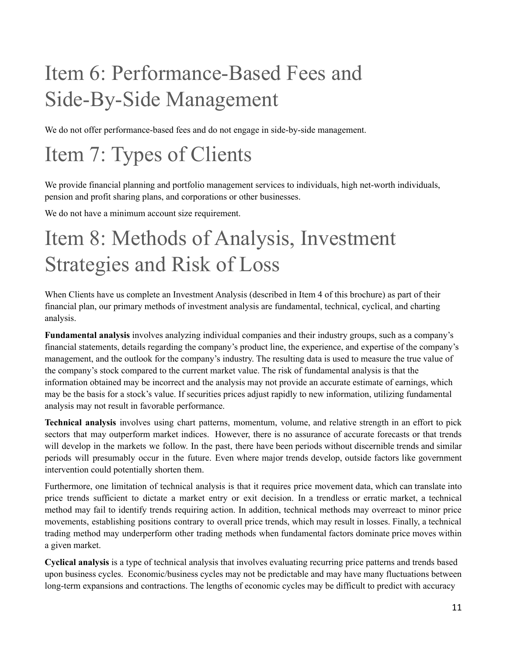# <span id="page-10-0"></span>Item 6: Performance-Based Fees and Side-By-Side Management

We do not offer performance-based fees and do not engage in side-by-side management.

## <span id="page-10-1"></span>Item 7: Types of Clients

We provide financial planning and portfolio management services to individuals, high net-worth individuals, pension and profit sharing plans, and corporations or other businesses.

We do not have a minimum account size requirement.

## <span id="page-10-2"></span>Item 8: Methods of Analysis, Investment Strategies and Risk of Loss

When Clients have us complete an Investment Analysis (described in Item 4 of this brochure) as part of their financial plan, our primary methods of investment analysis are fundamental, technical, cyclical, and charting analysis.

**Fundamental analysis** involves analyzing individual companies and their industry groups, such as a company's financial statements, details regarding the company's product line, the experience, and expertise of the company's management, and the outlook for the company's industry. The resulting data is used to measure the true value of the company's stock compared to the current market value. The risk of fundamental analysis is that the information obtained may be incorrect and the analysis may not provide an accurate estimate of earnings, which may be the basis for a stock's value. If securities prices adjust rapidly to new information, utilizing fundamental analysis may not result in favorable performance.

**Technical analysis** involves using chart patterns, momentum, volume, and relative strength in an effort to pick sectors that may outperform market indices. However, there is no assurance of accurate forecasts or that trends will develop in the markets we follow. In the past, there have been periods without discernible trends and similar periods will presumably occur in the future. Even where major trends develop, outside factors like government intervention could potentially shorten them.

Furthermore, one limitation of technical analysis is that it requires price movement data, which can translate into price trends sufficient to dictate a market entry or exit decision. In a trendless or erratic market, a technical method may fail to identify trends requiring action. In addition, technical methods may overreact to minor price movements, establishing positions contrary to overall price trends, which may result in losses. Finally, a technical trading method may underperform other trading methods when fundamental factors dominate price moves within a given market.

**Cyclical analysis** is a type of technical analysis that involves evaluating recurring price patterns and trends based upon business cycles. Economic/business cycles may not be predictable and may have many fluctuations between long-term expansions and contractions. The lengths of economic cycles may be difficult to predict with accuracy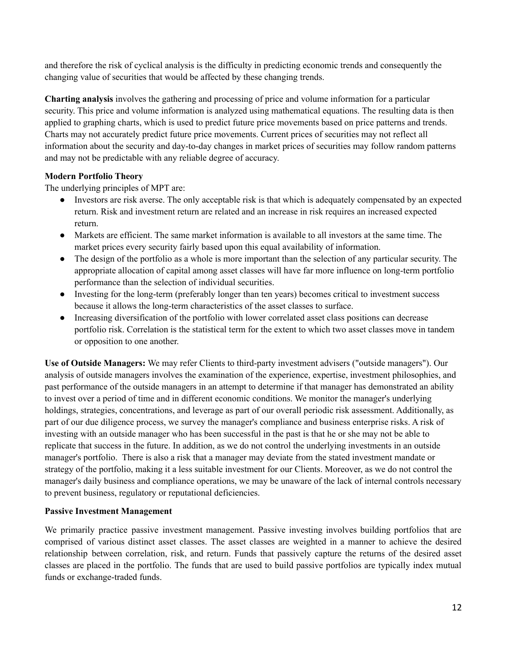and therefore the risk of cyclical analysis is the difficulty in predicting economic trends and consequently the changing value of securities that would be affected by these changing trends.

**Charting analysis** involves the gathering and processing of price and volume information for a particular security. This price and volume information is analyzed using mathematical equations. The resulting data is then applied to graphing charts, which is used to predict future price movements based on price patterns and trends. Charts may not accurately predict future price movements. Current prices of securities may not reflect all information about the security and day-to-day changes in market prices of securities may follow random patterns and may not be predictable with any reliable degree of accuracy.

#### **Modern Portfolio Theory**

The underlying principles of MPT are:

- Investors are risk averse. The only acceptable risk is that which is adequately compensated by an expected return. Risk and investment return are related and an increase in risk requires an increased expected return.
- Markets are efficient. The same market information is available to all investors at the same time. The market prices every security fairly based upon this equal availability of information.
- The design of the portfolio as a whole is more important than the selection of any particular security. The appropriate allocation of capital among asset classes will have far more influence on long-term portfolio performance than the selection of individual securities.
- Investing for the long-term (preferably longer than ten years) becomes critical to investment success because it allows the long-term characteristics of the asset classes to surface.
- Increasing diversification of the portfolio with lower correlated asset class positions can decrease portfolio risk. Correlation is the statistical term for the extent to which two asset classes move in tandem or opposition to one another.

**Use of Outside Managers:** We may refer Clients to third-party investment advisers ("outside managers"). Our analysis of outside managers involves the examination of the experience, expertise, investment philosophies, and past performance of the outside managers in an attempt to determine if that manager has demonstrated an ability to invest over a period of time and in different economic conditions. We monitor the manager's underlying holdings, strategies, concentrations, and leverage as part of our overall periodic risk assessment. Additionally, as part of our due diligence process, we survey the manager's compliance and business enterprise risks. A risk of investing with an outside manager who has been successful in the past is that he or she may not be able to replicate that success in the future. In addition, as we do not control the underlying investments in an outside manager's portfolio. There is also a risk that a manager may deviate from the stated investment mandate or strategy of the portfolio, making it a less suitable investment for our Clients. Moreover, as we do not control the manager's daily business and compliance operations, we may be unaware of the lack of internal controls necessary to prevent business, regulatory or reputational deficiencies.

#### **Passive Investment Management**

We primarily practice passive investment management. Passive investing involves building portfolios that are comprised of various distinct asset classes. The asset classes are weighted in a manner to achieve the desired relationship between correlation, risk, and return. Funds that passively capture the returns of the desired asset classes are placed in the portfolio. The funds that are used to build passive portfolios are typically index mutual funds or exchange-traded funds.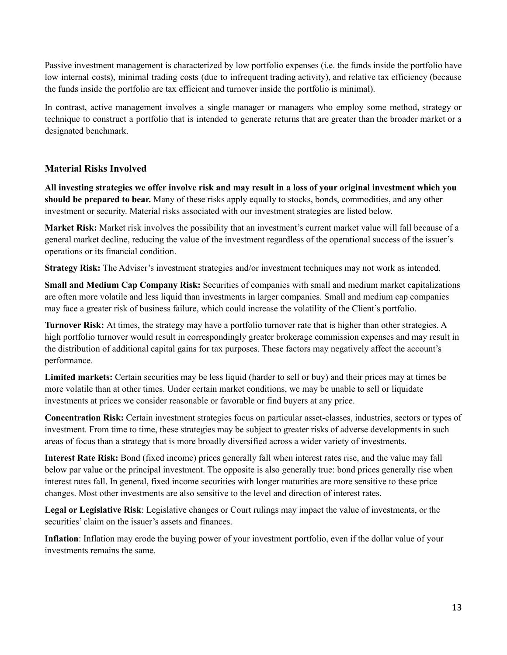Passive investment management is characterized by low portfolio expenses (i.e. the funds inside the portfolio have low internal costs), minimal trading costs (due to infrequent trading activity), and relative tax efficiency (because the funds inside the portfolio are tax efficient and turnover inside the portfolio is minimal).

In contrast, active management involves a single manager or managers who employ some method, strategy or technique to construct a portfolio that is intended to generate returns that are greater than the broader market or a designated benchmark.

#### **Material Risks Involved**

All investing strategies we offer involve risk and may result in a loss of your original investment which you **should be prepared to bear.** Many of these risks apply equally to stocks, bonds, commodities, and any other investment or security. Material risks associated with our investment strategies are listed below.

**Market Risk:** Market risk involves the possibility that an investment's current market value will fall because of a general market decline, reducing the value of the investment regardless of the operational success of the issuer's operations or its financial condition.

**Strategy Risk:** The Adviser's investment strategies and/or investment techniques may not work as intended.

**Small and Medium Cap Company Risk:** Securities of companies with small and medium market capitalizations are often more volatile and less liquid than investments in larger companies. Small and medium cap companies may face a greater risk of business failure, which could increase the volatility of the Client's portfolio.

**Turnover Risk:** At times, the strategy may have a portfolio turnover rate that is higher than other strategies. A high portfolio turnover would result in correspondingly greater brokerage commission expenses and may result in the distribution of additional capital gains for tax purposes. These factors may negatively affect the account's performance.

**Limited markets:** Certain securities may be less liquid (harder to sell or buy) and their prices may at times be more volatile than at other times. Under certain market conditions, we may be unable to sell or liquidate investments at prices we consider reasonable or favorable or find buyers at any price.

**Concentration Risk:** Certain investment strategies focus on particular asset-classes, industries, sectors or types of investment. From time to time, these strategies may be subject to greater risks of adverse developments in such areas of focus than a strategy that is more broadly diversified across a wider variety of investments.

**Interest Rate Risk:** Bond (fixed income) prices generally fall when interest rates rise, and the value may fall below par value or the principal investment. The opposite is also generally true: bond prices generally rise when interest rates fall. In general, fixed income securities with longer maturities are more sensitive to these price changes. Most other investments are also sensitive to the level and direction of interest rates.

**Legal or Legislative Risk**: Legislative changes or Court rulings may impact the value of investments, or the securities' claim on the issuer's assets and finances.

**Inflation**: Inflation may erode the buying power of your investment portfolio, even if the dollar value of your investments remains the same.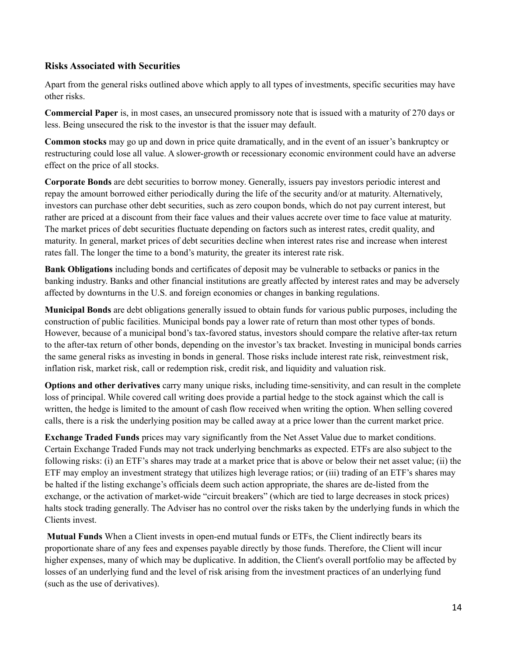#### **Risks Associated with Securities**

Apart from the general risks outlined above which apply to all types of investments, specific securities may have other risks.

**Commercial Paper** is, in most cases, an unsecured promissory note that is issued with a maturity of 270 days or less. Being unsecured the risk to the investor is that the issuer may default.

**Common stocks** may go up and down in price quite dramatically, and in the event of an issuer's bankruptcy or restructuring could lose all value. A slower-growth or recessionary economic environment could have an adverse effect on the price of all stocks.

**Corporate Bonds** are debt securities to borrow money. Generally, issuers pay investors periodic interest and repay the amount borrowed either periodically during the life of the security and/or at maturity. Alternatively, investors can purchase other debt securities, such as zero coupon bonds, which do not pay current interest, but rather are priced at a discount from their face values and their values accrete over time to face value at maturity. The market prices of debt securities fluctuate depending on factors such as interest rates, credit quality, and maturity. In general, market prices of debt securities decline when interest rates rise and increase when interest rates fall. The longer the time to a bond's maturity, the greater its interest rate risk.

**Bank Obligations** including bonds and certificates of deposit may be vulnerable to setbacks or panics in the banking industry. Banks and other financial institutions are greatly affected by interest rates and may be adversely affected by downturns in the U.S. and foreign economies or changes in banking regulations.

**Municipal Bonds** are debt obligations generally issued to obtain funds for various public purposes, including the construction of public facilities. Municipal bonds pay a lower rate of return than most other types of bonds. However, because of a municipal bond's tax-favored status, investors should compare the relative after-tax return to the after-tax return of other bonds, depending on the investor's tax bracket. Investing in municipal bonds carries the same general risks as investing in bonds in general. Those risks include interest rate risk, reinvestment risk, inflation risk, market risk, call or redemption risk, credit risk, and liquidity and valuation risk.

**Options and other derivatives** carry many unique risks, including time-sensitivity, and can result in the complete loss of principal. While covered call writing does provide a partial hedge to the stock against which the call is written, the hedge is limited to the amount of cash flow received when writing the option. When selling covered calls, there is a risk the underlying position may be called away at a price lower than the current market price.

**Exchange Traded Funds** prices may vary significantly from the Net Asset Value due to market conditions. Certain Exchange Traded Funds may not track underlying benchmarks as expected. ETFs are also subject to the following risks: (i) an ETF's shares may trade at a market price that is above or below their net asset value; (ii) the ETF may employ an investment strategy that utilizes high leverage ratios; or (iii) trading of an ETF's shares may be halted if the listing exchange's officials deem such action appropriate, the shares are de-listed from the exchange, or the activation of market-wide "circuit breakers" (which are tied to large decreases in stock prices) halts stock trading generally. The Adviser has no control over the risks taken by the underlying funds in which the Clients invest.

**Mutual Funds** When a Client invests in open-end mutual funds or ETFs, the Client indirectly bears its proportionate share of any fees and expenses payable directly by those funds. Therefore, the Client will incur higher expenses, many of which may be duplicative. In addition, the Client's overall portfolio may be affected by losses of an underlying fund and the level of risk arising from the investment practices of an underlying fund (such as the use of derivatives).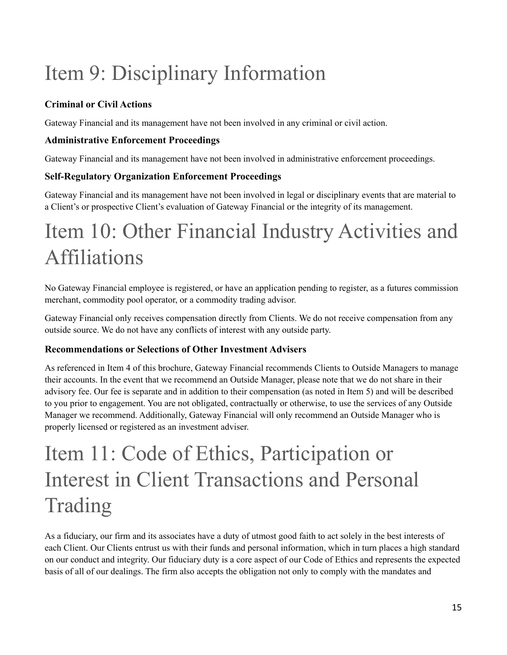# <span id="page-14-0"></span>Item 9: Disciplinary Information

### **Criminal or Civil Actions**

Gateway Financial and its management have not been involved in any criminal or civil action.

#### **Administrative Enforcement Proceedings**

Gateway Financial and its management have not been involved in administrative enforcement proceedings.

### **Self-Regulatory Organization Enforcement Proceedings**

Gateway Financial and its management have not been involved in legal or disciplinary events that are material to a Client's or prospective Client's evaluation of Gateway Financial or the integrity of its management.

## <span id="page-14-1"></span>Item 10: Other Financial Industry Activities and Affiliations

No Gateway Financial employee is registered, or have an application pending to register, as a futures commission merchant, commodity pool operator, or a commodity trading advisor.

Gateway Financial only receives compensation directly from Clients. We do not receive compensation from any outside source. We do not have any conflicts of interest with any outside party.

#### **Recommendations or Selections of Other Investment Advisers**

As referenced in Item 4 of this brochure, Gateway Financial recommends Clients to Outside Managers to manage their accounts. In the event that we recommend an Outside Manager, please note that we do not share in their advisory fee. Our fee is separate and in addition to their compensation (as noted in Item 5) and will be described to you prior to engagement. You are not obligated, contractually or otherwise, to use the services of any Outside Manager we recommend. Additionally, Gateway Financial will only recommend an Outside Manager who is properly licensed or registered as an investment adviser.

## Item 11: Code of Ethics, Participation or Interest in Client Transactions and Personal Trading

<span id="page-14-2"></span>As a fiduciary, our firm and its associates have a duty of utmost good faith to act solely in the best interests of each Client. Our Clients entrust us with their funds and personal information, which in turn places a high standard on our conduct and integrity. Our fiduciary duty is a core aspect of our Code of Ethics and represents the expected basis of all of our dealings. The firm also accepts the obligation not only to comply with the mandates and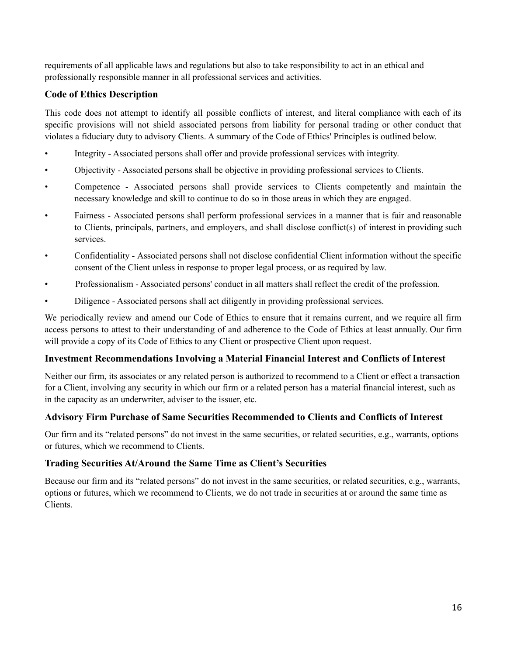requirements of all applicable laws and regulations but also to take responsibility to act in an ethical and professionally responsible manner in all professional services and activities.

#### **Code of Ethics Description**

This code does not attempt to identify all possible conflicts of interest, and literal compliance with each of its specific provisions will not shield associated persons from liability for personal trading or other conduct that violates a fiduciary duty to advisory Clients. A summary of the Code of Ethics' Principles is outlined below.

- Integrity Associated persons shall offer and provide professional services with integrity.
- Objectivity Associated persons shall be objective in providing professional services to Clients.
- Competence Associated persons shall provide services to Clients competently and maintain the necessary knowledge and skill to continue to do so in those areas in which they are engaged.
- Fairness Associated persons shall perform professional services in a manner that is fair and reasonable to Clients, principals, partners, and employers, and shall disclose conflict(s) of interest in providing such services.
- Confidentiality Associated persons shall not disclose confidential Client information without the specific consent of the Client unless in response to proper legal process, or as required by law.
- Professionalism Associated persons' conduct in all matters shall reflect the credit of the profession.
- Diligence Associated persons shall act diligently in providing professional services.

We periodically review and amend our Code of Ethics to ensure that it remains current, and we require all firm access persons to attest to their understanding of and adherence to the Code of Ethics at least annually. Our firm will provide a copy of its Code of Ethics to any Client or prospective Client upon request.

#### **Investment Recommendations Involving a Material Financial Interest and Conflicts of Interest**

Neither our firm, its associates or any related person is authorized to recommend to a Client or effect a transaction for a Client, involving any security in which our firm or a related person has a material financial interest, such as in the capacity as an underwriter, adviser to the issuer, etc.

#### **Advisory Firm Purchase of Same Securities Recommended to Clients and Conflicts of Interest**

Our firm and its "related persons" do not invest in the same securities, or related securities, e.g., warrants, options or futures, which we recommend to Clients.

#### **Trading Securities At/Around the Same Time as Client's Securities**

Because our firm and its "related persons" do not invest in the same securities, or related securities, e.g., warrants, options or futures, which we recommend to Clients, we do not trade in securities at or around the same time as Clients.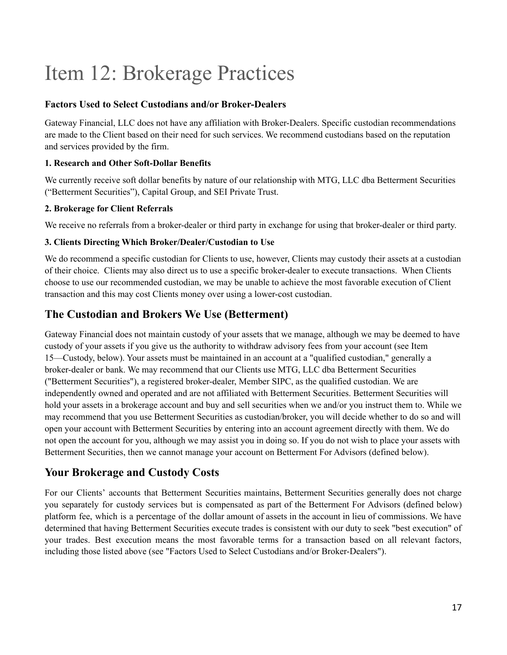## <span id="page-16-0"></span>Item 12: Brokerage Practices

#### **Factors Used to Select Custodians and/or Broker-Dealers**

Gateway Financial, LLC does not have any affiliation with Broker-Dealers. Specific custodian recommendations are made to the Client based on their need for such services. We recommend custodians based on the reputation and services provided by the firm.

#### **1. Research and Other Soft-Dollar Benefits**

We currently receive soft dollar benefits by nature of our relationship with MTG, LLC dba Betterment Securities ("Betterment Securities"), Capital Group, and SEI Private Trust.

#### **2. Brokerage for Client Referrals**

We receive no referrals from a broker-dealer or third party in exchange for using that broker-dealer or third party.

#### **3. Clients Directing Which Broker/Dealer/Custodian to Use**

We do recommend a specific custodian for Clients to use, however, Clients may custody their assets at a custodian of their choice. Clients may also direct us to use a specific broker-dealer to execute transactions. When Clients choose to use our recommended custodian, we may be unable to achieve the most favorable execution of Client transaction and this may cost Clients money over using a lower-cost custodian.

### **The Custodian and Brokers We Use (Betterment)**

Gateway Financial does not maintain custody of your assets that we manage, although we may be deemed to have custody of your assets if you give us the authority to withdraw advisory fees from your account (see Item 15—Custody, below). Your assets must be maintained in an account at a "qualified custodian," generally a broker-dealer or bank. We may recommend that our Clients use MTG, LLC dba Betterment Securities ("Betterment Securities"), a registered broker-dealer, Member SIPC, as the qualified custodian. We are independently owned and operated and are not affiliated with Betterment Securities. Betterment Securities will hold your assets in a brokerage account and buy and sell securities when we and/or you instruct them to. While we may recommend that you use Betterment Securities as custodian/broker, you will decide whether to do so and will open your account with Betterment Securities by entering into an account agreement directly with them. We do not open the account for you, although we may assist you in doing so. If you do not wish to place your assets with Betterment Securities, then we cannot manage your account on Betterment For Advisors (defined below).

### **Your Brokerage and Custody Costs**

For our Clients' accounts that Betterment Securities maintains, Betterment Securities generally does not charge you separately for custody services but is compensated as part of the Betterment For Advisors (defined below) platform fee, which is a percentage of the dollar amount of assets in the account in lieu of commissions. We have determined that having Betterment Securities execute trades is consistent with our duty to seek "best execution" of your trades. Best execution means the most favorable terms for a transaction based on all relevant factors, including those listed above (see "Factors Used to Select Custodians and/or Broker-Dealers").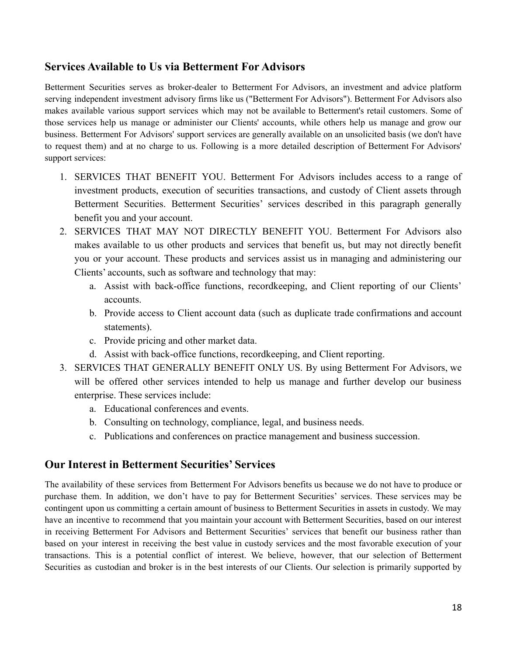### **Services Available to Us via Betterment For Advisors**

Betterment Securities serves as broker-dealer to Betterment For Advisors, an investment and advice platform serving independent investment advisory firms like us ("Betterment For Advisors"). Betterment For Advisors also makes available various support services which may not be available to Betterment's retail customers. Some of those services help us manage or administer our Clients' accounts, while others help us manage and grow our business. Betterment For Advisors' support services are generally available on an unsolicited basis (we don't have to request them) and at no charge to us. Following is a more detailed description of Betterment For Advisors' support services:

- 1. SERVICES THAT BENEFIT YOU. Betterment For Advisors includes access to a range of investment products, execution of securities transactions, and custody of Client assets through Betterment Securities. Betterment Securities' services described in this paragraph generally benefit you and your account.
- 2. SERVICES THAT MAY NOT DIRECTLY BENEFIT YOU. Betterment For Advisors also makes available to us other products and services that benefit us, but may not directly benefit you or your account. These products and services assist us in managing and administering our Clients' accounts, such as software and technology that may:
	- a. Assist with back-office functions, recordkeeping, and Client reporting of our Clients' accounts.
	- b. Provide access to Client account data (such as duplicate trade confirmations and account statements).
	- c. Provide pricing and other market data.
	- d. Assist with back-office functions, recordkeeping, and Client reporting.
- 3. SERVICES THAT GENERALLY BENEFIT ONLY US. By using Betterment For Advisors, we will be offered other services intended to help us manage and further develop our business enterprise. These services include:
	- a. Educational conferences and events.
	- b. Consulting on technology, compliance, legal, and business needs.
	- c. Publications and conferences on practice management and business succession.

#### **Our Interest in Betterment Securities' Services**

The availability of these services from Betterment For Advisors benefits us because we do not have to produce or purchase them. In addition, we don't have to pay for Betterment Securities' services. These services may be contingent upon us committing a certain amount of business to Betterment Securities in assets in custody. We may have an incentive to recommend that you maintain your account with Betterment Securities, based on our interest in receiving Betterment For Advisors and Betterment Securities' services that benefit our business rather than based on your interest in receiving the best value in custody services and the most favorable execution of your transactions. This is a potential conflict of interest. We believe, however, that our selection of Betterment Securities as custodian and broker is in the best interests of our Clients. Our selection is primarily supported by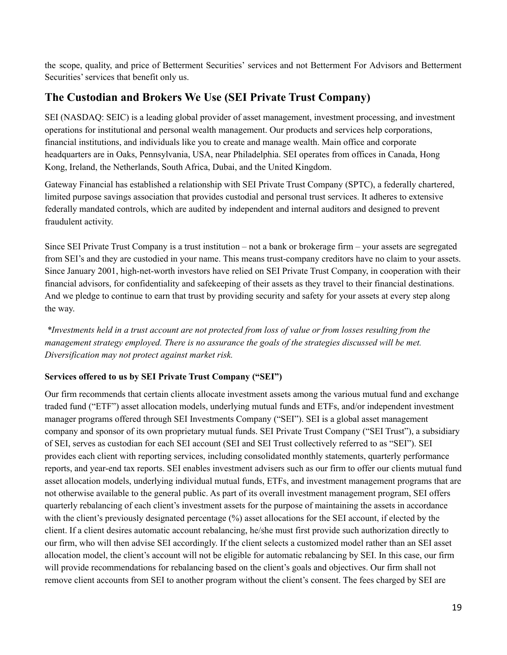the scope, quality, and price of Betterment Securities' services and not Betterment For Advisors and Betterment Securities' services that benefit only us.

### **The Custodian and Brokers We Use (SEI Private Trust Company)**

SEI (NASDAQ: SEIC) is a leading global provider of asset management, investment processing, and investment operations for institutional and personal wealth management. Our products and services help corporations, financial institutions, and individuals like you to create and manage wealth. Main office and corporate headquarters are in Oaks, Pennsylvania, USA, near Philadelphia. SEI operates from offices in Canada, Hong Kong, Ireland, the Netherlands, South Africa, Dubai, and the United Kingdom.

Gateway Financial has established a relationship with SEI Private Trust Company (SPTC), a federally chartered, limited purpose savings association that provides custodial and personal trust services. It adheres to extensive federally mandated controls, which are audited by independent and internal auditors and designed to prevent fraudulent activity.

Since SEI Private Trust Company is a trust institution – not a bank or brokerage firm – your assets are segregated from SEI's and they are custodied in your name. This means trust-company creditors have no claim to your assets. Since January 2001, high-net-worth investors have relied on SEI Private Trust Company, in cooperation with their financial advisors, for confidentiality and safekeeping of their assets as they travel to their financial destinations. And we pledge to continue to earn that trust by providing security and safety for your assets at every step along the way.

\*Investments held in a trust account are not protected from loss of value or from losses resulting from the *management strategy employed. There is no assurance the goals of the strategies discussed will be met. Diversification may not protect against market risk.*

#### **Services offered to us by SEI Private Trust Company ("SEI")**

Our firm recommends that certain clients allocate investment assets among the various mutual fund and exchange traded fund ("ETF") asset allocation models, underlying mutual funds and ETFs, and/or independent investment manager programs offered through SEI Investments Company ("SEI"). SEI is a global asset management company and sponsor of its own proprietary mutual funds. SEI Private Trust Company ("SEI Trust"), a subsidiary of SEI, serves as custodian for each SEI account (SEI and SEI Trust collectively referred to as "SEI"). SEI provides each client with reporting services, including consolidated monthly statements, quarterly performance reports, and year-end tax reports. SEI enables investment advisers such as our firm to offer our clients mutual fund asset allocation models, underlying individual mutual funds, ETFs, and investment management programs that are not otherwise available to the general public. As part of its overall investment management program, SEI offers quarterly rebalancing of each client's investment assets for the purpose of maintaining the assets in accordance with the client's previously designated percentage (%) asset allocations for the SEI account, if elected by the client. If a client desires automatic account rebalancing, he/she must first provide such authorization directly to our firm, who will then advise SEI accordingly. If the client selects a customized model rather than an SEI asset allocation model, the client's account will not be eligible for automatic rebalancing by SEI. In this case, our firm will provide recommendations for rebalancing based on the client's goals and objectives. Our firm shall not remove client accounts from SEI to another program without the client's consent. The fees charged by SEI are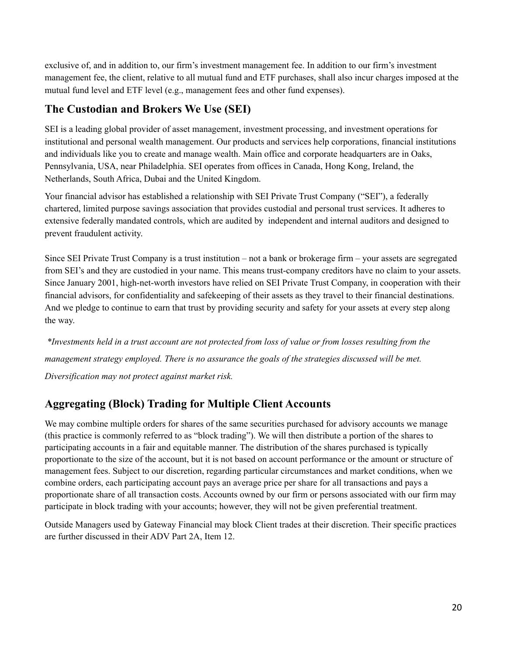exclusive of, and in addition to, our firm's investment management fee. In addition to our firm's investment management fee, the client, relative to all mutual fund and ETF purchases, shall also incur charges imposed at the mutual fund level and ETF level (e.g., management fees and other fund expenses).

### **The Custodian and Brokers We Use (SEI)**

SEI is a leading global provider of asset management, investment processing, and investment operations for institutional and personal wealth management. Our products and services help corporations, financial institutions and individuals like you to create and manage wealth. Main office and corporate headquarters are in Oaks, Pennsylvania, USA, near Philadelphia. SEI operates from offices in Canada, Hong Kong, Ireland, the Netherlands, South Africa, Dubai and the United Kingdom.

Your financial advisor has established a relationship with SEI Private Trust Company ("SEI"), a federally chartered, limited purpose savings association that provides custodial and personal trust services. It adheres to extensive federally mandated controls, which are audited by independent and internal auditors and designed to prevent fraudulent activity.

Since SEI Private Trust Company is a trust institution – not a bank or brokerage firm – your assets are segregated from SEI's and they are custodied in your name. This means trust-company creditors have no claim to your assets. Since January 2001, high-net-worth investors have relied on SEI Private Trust Company, in cooperation with their financial advisors, for confidentiality and safekeeping of their assets as they travel to their financial destinations. And we pledge to continue to earn that trust by providing security and safety for your assets at every step along the way.

\*Investments held in a trust account are not protected from loss of value or from losses resulting from the *management strategy employed. There is no assurance the goals of the strategies discussed will be met. Diversification may not protect against market risk.*

### **Aggregating (Block) Trading for Multiple Client Accounts**

We may combine multiple orders for shares of the same securities purchased for advisory accounts we manage (this practice is commonly referred to as "block trading"). We will then distribute a portion of the shares to participating accounts in a fair and equitable manner. The distribution of the shares purchased is typically proportionate to the size of the account, but it is not based on account performance or the amount or structure of management fees. Subject to our discretion, regarding particular circumstances and market conditions, when we combine orders, each participating account pays an average price per share for all transactions and pays a proportionate share of all transaction costs. Accounts owned by our firm or persons associated with our firm may participate in block trading with your accounts; however, they will not be given preferential treatment.

Outside Managers used by Gateway Financial may block Client trades at their discretion. Their specific practices are further discussed in their ADV Part 2A, Item 12.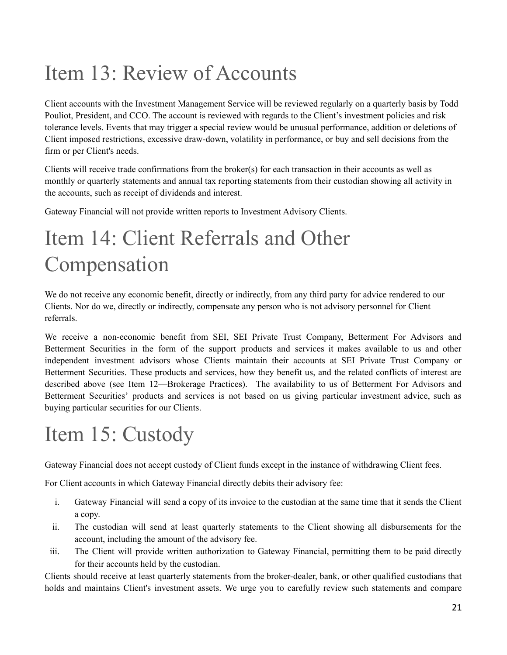# <span id="page-20-0"></span>Item 13: Review of Accounts

Client accounts with the Investment Management Service will be reviewed regularly on a quarterly basis by Todd Pouliot, President, and CCO. The account is reviewed with regards to the Client's investment policies and risk tolerance levels. Events that may trigger a special review would be unusual performance, addition or deletions of Client imposed restrictions, excessive draw-down, volatility in performance, or buy and sell decisions from the firm or per Client's needs.

Clients will receive trade confirmations from the broker(s) for each transaction in their accounts as well as monthly or quarterly statements and annual tax reporting statements from their custodian showing all activity in the accounts, such as receipt of dividends and interest.

Gateway Financial will not provide written reports to Investment Advisory Clients.

# <span id="page-20-1"></span>Item 14: Client Referrals and Other Compensation

We do not receive any economic benefit, directly or indirectly, from any third party for advice rendered to our Clients. Nor do we, directly or indirectly, compensate any person who is not advisory personnel for Client referrals.

We receive a non-economic benefit from SEI, SEI Private Trust Company, Betterment For Advisors and Betterment Securities in the form of the support products and services it makes available to us and other independent investment advisors whose Clients maintain their accounts at SEI Private Trust Company or Betterment Securities. These products and services, how they benefit us, and the related conflicts of interest are described above (see Item 12—Brokerage Practices). The availability to us of Betterment For Advisors and Betterment Securities' products and services is not based on us giving particular investment advice, such as buying particular securities for our Clients.

# <span id="page-20-2"></span>Item 15: Custody

Gateway Financial does not accept custody of Client funds except in the instance of withdrawing Client fees.

For Client accounts in which Gateway Financial directly debits their advisory fee:

- i. Gateway Financial will send a copy of its invoice to the custodian at the same time that it sends the Client a copy.
- ii. The custodian will send at least quarterly statements to the Client showing all disbursements for the account, including the amount of the advisory fee.
- iii. The Client will provide written authorization to Gateway Financial, permitting them to be paid directly for their accounts held by the custodian.

Clients should receive at least quarterly statements from the broker-dealer, bank, or other qualified custodians that holds and maintains Client's investment assets. We urge you to carefully review such statements and compare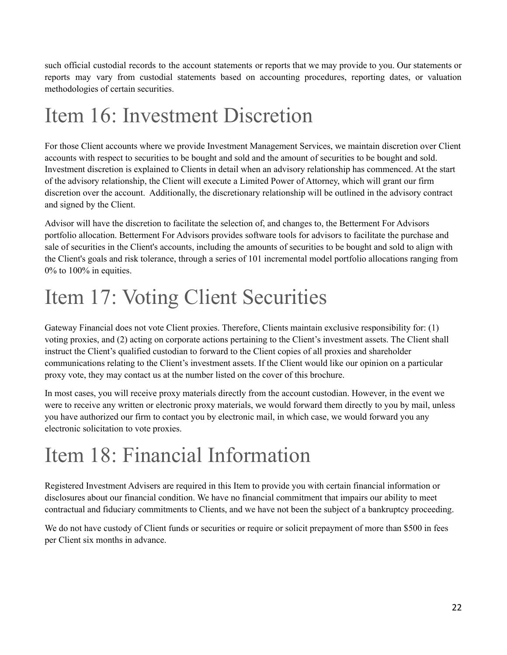such official custodial records to the account statements or reports that we may provide to you. Our statements or reports may vary from custodial statements based on accounting procedures, reporting dates, or valuation methodologies of certain securities.

## <span id="page-21-0"></span>Item 16: Investment Discretion

For those Client accounts where we provide Investment Management Services, we maintain discretion over Client accounts with respect to securities to be bought and sold and the amount of securities to be bought and sold. Investment discretion is explained to Clients in detail when an advisory relationship has commenced. At the start of the advisory relationship, the Client will execute a Limited Power of Attorney, which will grant our firm discretion over the account. Additionally, the discretionary relationship will be outlined in the advisory contract and signed by the Client.

Advisor will have the discretion to facilitate the selection of, and changes to, the Betterment For Advisors portfolio allocation. Betterment For Advisors provides software tools for advisors to facilitate the purchase and sale of securities in the Client's accounts, including the amounts of securities to be bought and sold to align with the Client's goals and risk tolerance, through a series of 101 incremental model portfolio allocations ranging from 0% to 100% in equities.

## <span id="page-21-1"></span>Item 17: Voting Client Securities

Gateway Financial does not vote Client proxies. Therefore, Clients maintain exclusive responsibility for: (1) voting proxies, and (2) acting on corporate actions pertaining to the Client's investment assets. The Client shall instruct the Client's qualified custodian to forward to the Client copies of all proxies and shareholder communications relating to the Client's investment assets. If the Client would like our opinion on a particular proxy vote, they may contact us at the number listed on the cover of this brochure.

In most cases, you will receive proxy materials directly from the account custodian. However, in the event we were to receive any written or electronic proxy materials, we would forward them directly to you by mail, unless you have authorized our firm to contact you by electronic mail, in which case, we would forward you any electronic solicitation to vote proxies.

## <span id="page-21-2"></span>Item 18: Financial Information

Registered Investment Advisers are required in this Item to provide you with certain financial information or disclosures about our financial condition. We have no financial commitment that impairs our ability to meet contractual and fiduciary commitments to Clients, and we have not been the subject of a bankruptcy proceeding.

We do not have custody of Client funds or securities or require or solicit prepayment of more than \$500 in fees per Client six months in advance.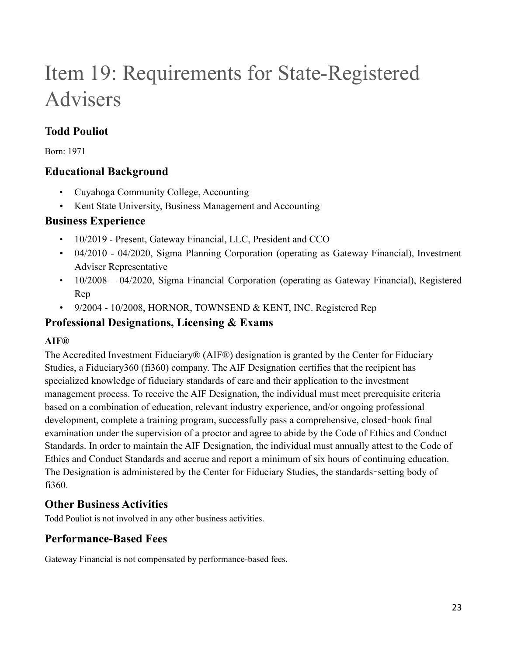# <span id="page-22-0"></span>Item 19: Requirements for State-Registered Advisers

## **Todd Pouliot**

Born: 1971

### **Educational Background**

- Cuyahoga Community College, Accounting
- Kent State University, Business Management and Accounting

### **Business Experience**

- 10/2019 Present, Gateway Financial, LLC, President and CCO
- 04/2010 04/2020, Sigma Planning Corporation (operating as Gateway Financial), Investment Adviser Representative
- 10/2008 04/2020, Sigma Financial Corporation (operating as Gateway Financial), Registered Rep
- 9/2004 10/2008, HORNOR, TOWNSEND & KENT, INC. Registered Rep

### **Professional Designations, Licensing & Exams**

### **AIF®**

The Accredited Investment Fiduciary® (AIF®) designation is granted by the Center for Fiduciary Studies, a Fiduciary360 (fi360) company. The AIF Designation certifies that the recipient has specialized knowledge of fiduciary standards of care and their application to the investment management process. To receive the AIF Designation, the individual must meet prerequisite criteria based on a combination of education, relevant industry experience, and/or ongoing professional development, complete a training program, successfully pass a comprehensive, closed-book final examination under the supervision of a proctor and agree to abide by the Code of Ethics and Conduct Standards. In order to maintain the AIF Designation, the individual must annually attest to the Code of Ethics and Conduct Standards and accrue and report a minimum of six hours of continuing education. The Designation is administered by the Center for Fiduciary Studies, the standards-setting body of fi360.

## **Other Business Activities**

Todd Pouliot is not involved in any other business activities.

### **Performance-Based Fees**

Gateway Financial is not compensated by performance-based fees.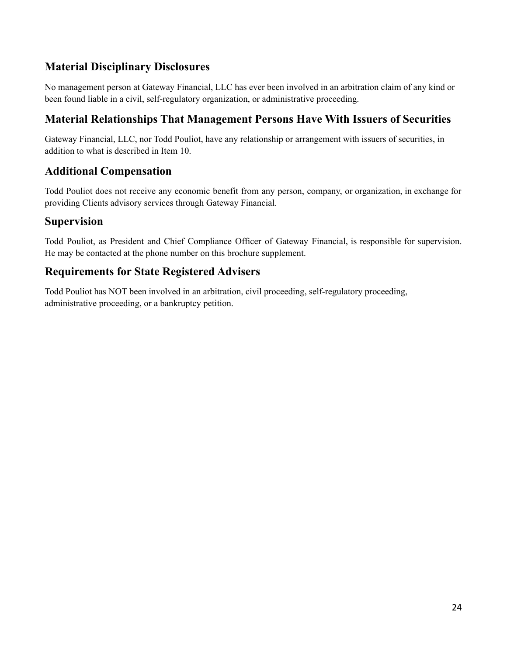### **Material Disciplinary Disclosures**

No management person at Gateway Financial, LLC has ever been involved in an arbitration claim of any kind or been found liable in a civil, self-regulatory organization, or administrative proceeding.

### **Material Relationships That Management Persons Have With Issuers of Securities**

Gateway Financial, LLC, nor Todd Pouliot, have any relationship or arrangement with issuers of securities, in addition to what is described in Item 10.

### **Additional Compensation**

Todd Pouliot does not receive any economic benefit from any person, company, or organization, in exchange for providing Clients advisory services through Gateway Financial.

### **Supervision**

Todd Pouliot, as President and Chief Compliance Officer of Gateway Financial, is responsible for supervision. He may be contacted at the phone number on this brochure supplement.

### **Requirements for State Registered Advisers**

Todd Pouliot has NOT been involved in an arbitration, civil proceeding, self-regulatory proceeding, administrative proceeding, or a bankruptcy petition.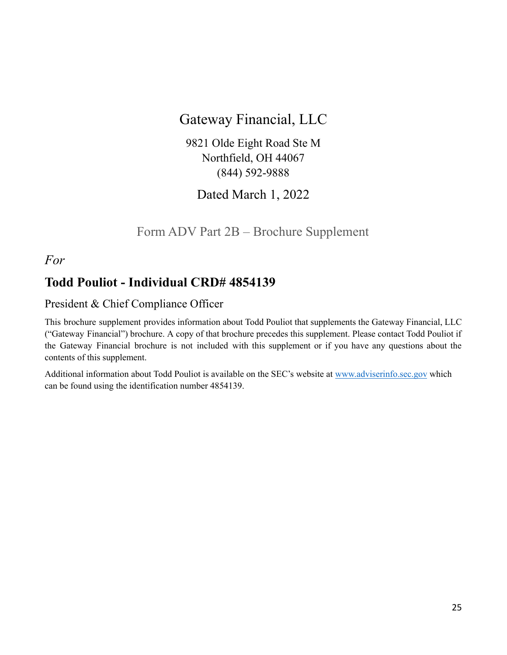## Gateway Financial, LLC

9821 Olde Eight Road Ste M Northfield, OH 44067 (844) 592-9888

Dated March 1, 2022

Form ADV Part 2B – Brochure Supplement

<span id="page-24-0"></span>*For*

## **Todd Pouliot - Individual CRD# 4854139**

### President & Chief Compliance Officer

This brochure supplement provides information about Todd Pouliot that supplements the Gateway Financial, LLC ("Gateway Financial") brochure. A copy of that brochure precedes this supplement. Please contact Todd Pouliot if the Gateway Financial brochure is not included with this supplement or if you have any questions about the contents of this supplement.

Additional information about Todd Pouliot is available on the SEC's website at [www.adviserinfo.sec.gov](http://www.adviserinfo.sec.gov) which can be found using the identification number 4854139.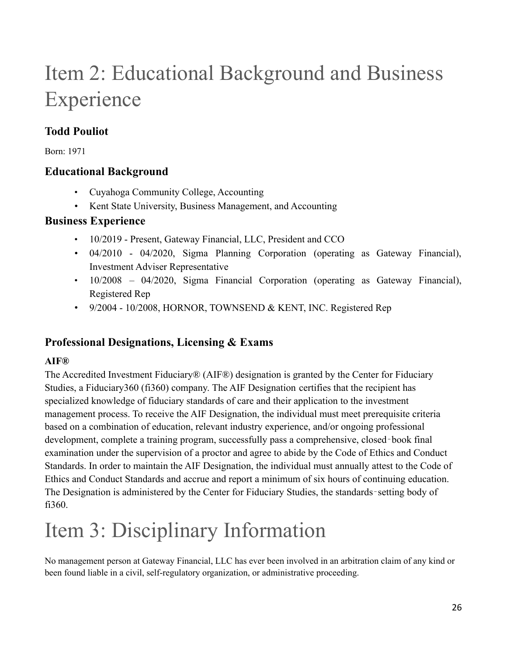# Item 2: Educational Background and Business Experience

## **Todd Pouliot**

Born: 1971

### **Educational Background**

- Cuyahoga Community College, Accounting
- Kent State University, Business Management, and Accounting

### **Business Experience**

- 10/2019 Present, Gateway Financial, LLC, President and CCO
- 04/2010 04/2020, Sigma Planning Corporation (operating as Gateway Financial), Investment Adviser Representative
- 10/2008 04/2020, Sigma Financial Corporation (operating as Gateway Financial), Registered Rep
- 9/2004 10/2008, HORNOR, TOWNSEND & KENT, INC. Registered Rep

## **Professional Designations, Licensing & Exams**

### **AIF®**

The Accredited Investment Fiduciary® (AIF®) designation is granted by the Center for Fiduciary Studies, a Fiduciary360 (fi360) company. The AIF Designation certifies that the recipient has specialized knowledge of fiduciary standards of care and their application to the investment management process. To receive the AIF Designation, the individual must meet prerequisite criteria based on a combination of education, relevant industry experience, and/or ongoing professional development, complete a training program, successfully pass a comprehensive, closed-book final examination under the supervision of a proctor and agree to abide by the Code of Ethics and Conduct Standards. In order to maintain the AIF Designation, the individual must annually attest to the Code of Ethics and Conduct Standards and accrue and report a minimum of six hours of continuing education. The Designation is administered by the Center for Fiduciary Studies, the standards-setting body of fi360.

# Item 3: Disciplinary Information

No management person at Gateway Financial, LLC has ever been involved in an arbitration claim of any kind or been found liable in a civil, self-regulatory organization, or administrative proceeding.